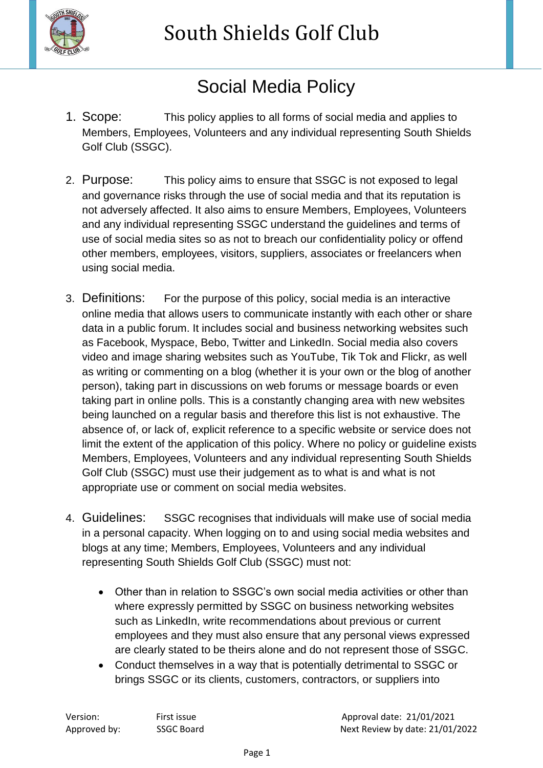

South Shields Golf Club

## Social Media Policy

- 1. Scope: This policy applies to all forms of social media and applies to Members, Employees, Volunteers and any individual representing South Shields Golf Club (SSGC).
- 2. Purpose: This policy aims to ensure that SSGC is not exposed to legal and governance risks through the use of social media and that its reputation is not adversely affected. It also aims to ensure Members, Employees, Volunteers and any individual representing SSGC understand the guidelines and terms of use of social media sites so as not to breach our confidentiality policy or offend other members, employees, visitors, suppliers, associates or freelancers when using social media.
- 3. Definitions: For the purpose of this policy, social media is an interactive online media that allows users to communicate instantly with each other or share data in a public forum. It includes social and business networking websites such as Facebook, Myspace, Bebo, Twitter and LinkedIn. Social media also covers video and image sharing websites such as YouTube, Tik Tok and Flickr, as well as writing or commenting on a blog (whether it is your own or the blog of another person), taking part in discussions on web forums or message boards or even taking part in online polls. This is a constantly changing area with new websites being launched on a regular basis and therefore this list is not exhaustive. The absence of, or lack of, explicit reference to a specific website or service does not limit the extent of the application of this policy. Where no policy or guideline exists Members, Employees, Volunteers and any individual representing South Shields Golf Club (SSGC) must use their judgement as to what is and what is not appropriate use or comment on social media websites.
- 4. Guidelines: SSGC recognises that individuals will make use of social media in a personal capacity. When logging on to and using social media websites and blogs at any time; Members, Employees, Volunteers and any individual representing South Shields Golf Club (SSGC) must not:
	- Other than in relation to SSGC's own social media activities or other than where expressly permitted by SSGC on business networking websites such as LinkedIn, write recommendations about previous or current employees and they must also ensure that any personal views expressed are clearly stated to be theirs alone and do not represent those of SSGC.
	- Conduct themselves in a way that is potentially detrimental to SSGC or brings SSGC or its clients, customers, contractors, or suppliers into